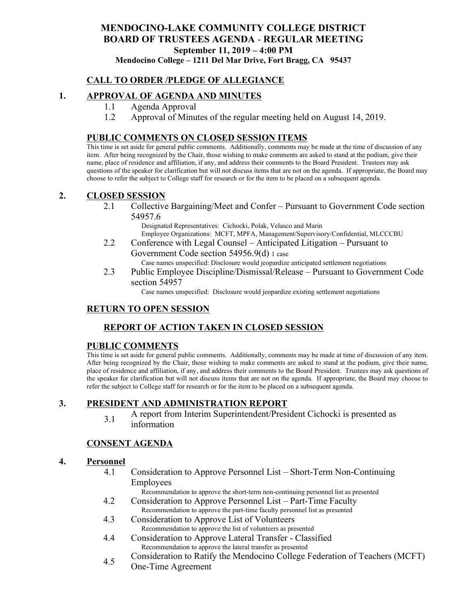# **MENDOCINO-LAKE COMMUNITY COLLEGE DISTRICT BOARD OF TRUSTEES AGENDA** - **REGULAR MEETING September 11, 2019 – 4:00 PM**

**Mendocino College – 1211 Del Mar Drive, Fort Bragg, CA 95437**

# **CALL TO ORDER /PLEDGE OF ALLEGIANCE**

# **1. APPROVAL OF AGENDA AND MINUTES**

- 1.1 Agenda Approval
- 1.2 Approval of Minutes of the regular meeting held on August 14, 2019.

#### **PUBLIC COMMENTS ON CLOSED SESSION ITEMS**

This time is set aside for general public comments. Additionally, comments may be made at the time of discussion of any item. After being recognized by the Chair, those wishing to make comments are asked to stand at the podium, give their name, place of residence and affiliation, if any, and address their comments to the Board President. Trustees may ask questions of the speaker for clarification but will not discuss items that are not on the agenda. If appropriate, the Board may choose to refer the subject to College staff for research or for the item to be placed on a subsequent agenda.

#### **2. CLOSED SESSION**

2.1 Collective Bargaining/Meet and Confer – Pursuant to Government Code section 54957.6

Designated Representatives: Cichocki, Polak, Velasco and Marin Employee Organizations: MCFT, MPFA, Management/Supervisory/Confidential, MLCCCBU

2.2 Conference with Legal Counsel – Anticipated Litigation – Pursuant to Government Code section 54956.9(d) 1 case

Case names unspecified: Disclosure would jeopardize anticipated settlement negotiations

2.3 Public Employee Discipline/Dismissal/Release – Pursuant to Government Code section 54957

Case names unspecified: Disclosure would jeopardize existing settlement negotiations

# **RETURN TO OPEN SESSION**

# **REPORT OF ACTION TAKEN IN CLOSED SESSION**

#### **PUBLIC COMMENTS**

This time is set aside for general public comments. Additionally, comments may be made at time of discussion of any item. After being recognized by the Chair, those wishing to make comments are asked to stand at the podium, give their name, place of residence and affiliation, if any, and address their comments to the Board President. Trustees may ask questions of the speaker for clarification but will not discuss items that are not on the agenda. If appropriate, the Board may choose to refer the subject to College staff for research or for the item to be placed on a subsequent agenda.

#### **3. PRESIDENT AND ADMINISTRATION REPORT**

3.1 A report from Interim Superintendent/President Cichocki is presented as information

#### **CONSENT AGENDA**

#### **4. Personnel**

4.1 Consideration to Approve Personnel List – Short-Term Non-Continuing Employees

Recommendation to approve the short-term non-continuing personnel list as presented

- 4.2 Consideration to Approve Personnel List Part-Time Faculty Recommendation to approve the part-time faculty personnel list as presented
- 4.3 Consideration to Approve List of Volunteers Recommendation to approve the list of volunteers as presented
- 4.4 Consideration to Approve Lateral Transfer Classified Recommendation to approve the lateral transfer as presented
- 4.5 Consideration to Ratify the Mendocino College Federation of Teachers (MCFT)
	- One-Time Agreement